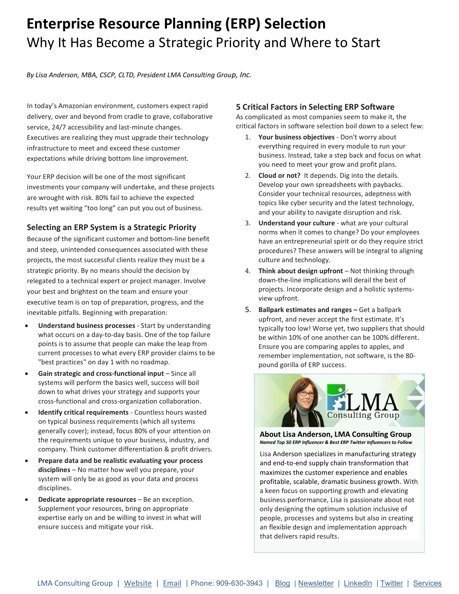# Enterprise Resource Planning (ERP) Selection Why It Has Become a Strategic Priority and Where to Start

By Lisa Anderson, MBA, CSCP, CLTD, President LMA Consulting Group, Inc.

In today's Amazonian environment, customers expect rapid delivery, over and beyond from cradle to grave, collaborative service, 24/7 accessibility and last-minute changes. Executives are realizing they must upgrade their technology infrastructure to meet and exceed these customer expectations while driving bottom line improvement.

Your ERP decision will be one of the most significant investments your company will undertake, and these projects are wrought with risk. 80% fail to achieve the expected results yet waiting "too long" can put you out of business.

## Selecting an ERP System is a Strategic Priority

Because of the significant customer and bottom-line benefit and steep, unintended consequences associated with these projects, the most successful clients realize they must be a strategic priority. By no means should the decision by relegated to a technical expert or project manager. Involve your best and brightest on the team and ensure your executive team is on top of preparation, progress, and the inevitable pitfalls. Beginning with preparation:

- Understand business processes Start by understanding what occurs on a day-to-day basis. One of the top failure points is to assume that people can make the leap from current processes to what every ERP provider claims to be "best practices" on day 1 with no roadmap.
- Gain strategic and cross-functional input Since all systems will perform the basics well, success will boil down to what drives your strategy and supports your cross-functional and cross-organization collaboration.
- Identify critical requirements Countless hours wasted on typical business requirements (which all systems generally cover); instead, focus 80% of your attention on the requirements unique to your business, industry, and company. Think customer differentiation & profit drivers.
- Prepare data and be realistic evaluating your process disciplines - No matter how well you prepare, your system will only be as good as your data and process disciplines.
- Dedicate appropriate resources Be an exception. Supplement your resources, bring on appropriate expertise early on and be willing to invest in what will ensure success and mitigate your risk.

### 5 Critical Factors in Selecting ERP Software

As complicated as most companies seem to make it, the critical factors in software selection boil down to a select few:

- 1. Your business objectives Don't worry about everything required in every module to run your business. Instead, take a step back and focus on what you need to meet your grow and profit plans.
- 2. Cloud or not? It depends. Dig into the details. Develop your own spreadsheets with paybacks. Consider your technical resources, adeptness with topics like cyber security and the latest technology, and your ability to navigate disruption and risk.
- 3. Understand your culture what are your cultural norms when it comes to change? Do your employees have an entrepreneurial spirit or do they require strict procedures? These answers will be integral to aligning culture and technology.
- 4. Think about design upfront Not thinking through down-the-line implications will derail the best of projects. Incorporate design and a holistic systemsview upfront.
- 5. Ballpark estimates and ranges Get a ballpark upfront, and never accept the first estimate. It's typically too low! Worse yet, two suppliers that should be within 10% of one another can be 100% different. Ensure you are comparing apples to apples, and remember implementation, not software, is the 80 pound gorilla of ERP success.



About Lisa Anderson, LMA Consulting Group Named Top 50 ERP Influencer & Best ERP Twitter Influencers to Follow

Lisa Anderson specializes in manufacturing strategy and end-to-end supply chain transformation that maximizes the customer experience and enables profitable, scalable, dramatic business growth. With a keen focus on supporting growth and elevating business performance, Lisa is passionate about not only designing the optimum solution inclusive of people, processes and systems but also in creating an flexible design and implementation approach that delivers rapid results.